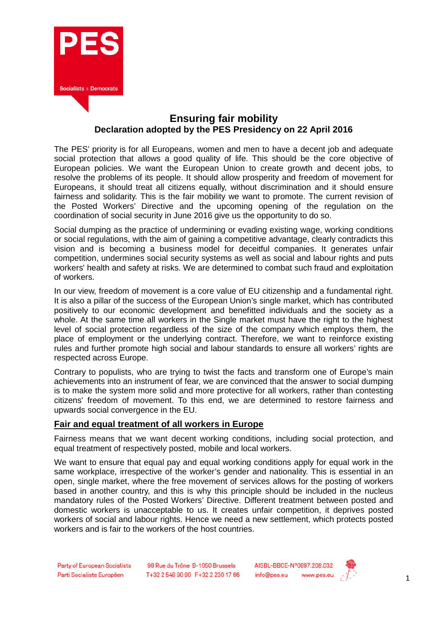

## **Ensuring fair mobility Declaration adopted by the PES Presidency on 22 April 2016**

The PES' priority is for all Europeans, women and men to have a decent job and adequate social protection that allows a good quality of life. This should be the core objective of European policies. We want the European Union to create growth and decent jobs, to resolve the problems of its people. It should allow prosperity and freedom of movement for Europeans, it should treat all citizens equally, without discrimination and it should ensure fairness and solidarity. This is the fair mobility we want to promote. The current revision of the Posted Workers' Directive and the upcoming opening of the regulation on the coordination of social security in June 2016 give us the opportunity to do so.

Social dumping as the practice of undermining or evading existing wage, working conditions or social regulations, with the aim of gaining a competitive advantage, clearly contradicts this vision and is becoming a business model for deceitful companies. It generates unfair competition, undermines social security systems as well as social and labour rights and puts workers' health and safety at risks. We are determined to combat such fraud and exploitation of workers.

In our view, freedom of movement is a core value of EU citizenship and a fundamental right. It is also a pillar of the success of the European Union's single market, which has contributed positively to our economic development and benefitted individuals and the society as a whole. At the same time all workers in the Single market must have the right to the highest level of social protection regardless of the size of the company which employs them, the place of employment or the underlying contract. Therefore, we want to reinforce existing rules and further promote high social and labour standards to ensure all workers' rights are respected across Europe.

Contrary to populists, who are trying to twist the facts and transform one of Europe's main achievements into an instrument of fear, we are convinced that the answer to social dumping is to make the system more solid and more protective for all workers, rather than contesting citizens' freedom of movement. To this end, we are determined to restore fairness and upwards social convergence in the EU.

## **Fair and equal treatment of all workers in Europe**

Fairness means that we want decent working conditions, including social protection, and equal treatment of respectively posted, mobile and local workers.

We want to ensure that equal pay and equal working conditions apply for equal work in the same workplace, irrespective of the worker's gender and nationality. This is essential in an open, single market, where the free movement of services allows for the posting of workers based in another country, and this is why this principle should be included in the nucleus mandatory rules of the Posted Workers' Directive. Different treatment between posted and domestic workers is unacceptable to us. It creates unfair competition, it deprives posted workers of social and labour rights. Hence we need a new settlement, which protects posted workers and is fair to the workers of the host countries.

98 Rue du Trône B-1050 Brussels T+32 2 548 90 80 F+32 2 230 17 66 AISBL-BBCE-N°0897.208.032 info@pes.eu www.pes.eu

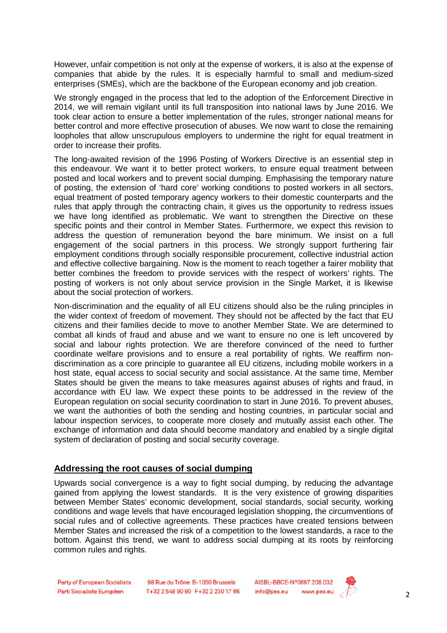However, unfair competition is not only at the expense of workers, it is also at the expense of companies that abide by the rules. It is especially harmful to small and medium-sized enterprises (SMEs), which are the backbone of the European economy and job creation.

We strongly engaged in the process that led to the adoption of the Enforcement Directive in 2014, we will remain vigilant until its full transposition into national laws by June 2016. We took clear action to ensure a better implementation of the rules, stronger national means for better control and more effective prosecution of abuses. We now want to close the remaining loopholes that allow unscrupulous employers to undermine the right for equal treatment in order to increase their profits.

The long-awaited revision of the 1996 Posting of Workers Directive is an essential step in this endeavour. We want it to better protect workers, to ensure equal treatment between posted and local workers and to prevent social dumping. Emphasising the temporary nature of posting, the extension of 'hard core' working conditions to posted workers in all sectors, equal treatment of posted temporary agency workers to their domestic counterparts and the rules that apply through the contracting chain, it gives us the opportunity to redress issues we have long identified as problematic. We want to strengthen the Directive on these specific points and their control in Member States. Furthermore, we expect this revision to address the question of remuneration beyond the bare minimum. We insist on a full engagement of the social partners in this process. We strongly support furthering fair employment conditions through socially responsible procurement, collective industrial action and effective collective bargaining. Now is the moment to reach together a fairer mobility that better combines the freedom to provide services with the respect of workers' rights. The posting of workers is not only about service provision in the Single Market, it is likewise about the social protection of workers.

Non-discrimination and the equality of all EU citizens should also be the ruling principles in the wider context of freedom of movement. They should not be affected by the fact that EU citizens and their families decide to move to another Member State. We are determined to combat all kinds of fraud and abuse and we want to ensure no one is left uncovered by social and labour rights protection. We are therefore convinced of the need to further coordinate welfare provisions and to ensure a real portability of rights. We reaffirm nondiscrimination as a core principle to guarantee all EU citizens, including mobile workers in a host state, equal access to social security and social assistance. At the same time, Member States should be given the means to take measures against abuses of rights and fraud, in accordance with EU law. We expect these points to be addressed in the review of the European regulation on social security coordination to start in June 2016. To prevent abuses, we want the authorities of both the sending and hosting countries, in particular social and labour inspection services, to cooperate more closely and mutually assist each other. The exchange of information and data should become mandatory and enabled by a single digital system of declaration of posting and social security coverage.

## **Addressing the root causes of social dumping**

Upwards social convergence is a way to fight social dumping, by reducing the advantage gained from applying the lowest standards. It is the very existence of growing disparities between Member States' economic development, social standards, social security, working conditions and wage levels that have encouraged legislation shopping, the circumventions of social rules and of collective agreements. These practices have created tensions between Member States and increased the risk of a competition to the lowest standards, a race to the bottom. Against this trend, we want to address social dumping at its roots by reinforcing common rules and rights.

Party of European Socialists Parti Socialiste Européen

98 Rue du Trône B-1050 Brussels T+32 2 548 90 80 F+32 2 230 17 66 AISBL-BBCE-N°0897.208.032 www.pes.eu info@pes.eu